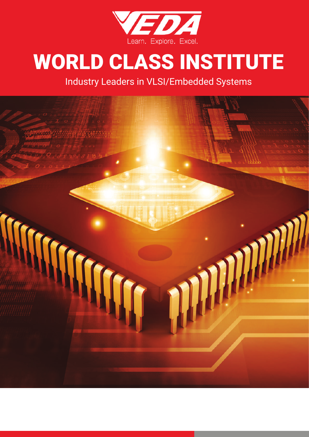

# WORLD CLASS INSTITUTE

Industry Leaders in VLSI/Embedded Systems

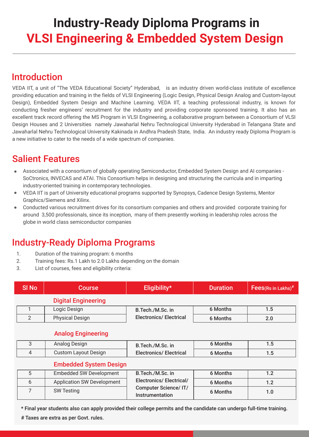# **Industry-Ready Diploma Programs in VLSI Engineering & Embedded System Design**

### Introduction

VEDA IIT, a unit of "The VEDA Educational Society" Hyderabad, is an industry driven world-class institute of excellence providing education and training in the fields of VLSI Engineering (Logic Design, Physical Design Analog and Custom-layout Design), Embedded System Design and Machine Learning. VEDA IIT, a teaching professional industry, is known for conducting fresher engineers' recruitment for the industry and providing corporate sponsored training. It also has an excellent track record offering the MS Program in VLSI Engineering, a collaborative program between a Consortium of VLSI Design Houses and 2 Universities namely Jawaharlal Nehru Technological University Hyderabad in Telangana State and Jawaharlal Nehru Technological University Kakinada in Andhra Pradesh State, India. An industry ready Diploma Program is a new initiative to cater to the needs of a wide spectrum of companies.

### Salient Features

- Associated with a consortium of globally operating Semiconductor, Embedded System Design and AI companies SoCtronics, INVECAS and ATAI. This Consortium helps in designing and structuring the curricula and in imparting industry-oriented training in contemporary technologies.
- VEDA IIT is part of University educational programs supported by Synopsys, Cadence Design Systems, Mentor Graphics/Siemens and Xilinx.
- Conducted various recruitment drives for its consortium companies and others and provided corporate training for around 3,500 professionals, since its inception, many of them presently working in leadership roles across the globe in world class semiconductor companies

### Industry-Ready Diploma Programs

- 1. Duration of the training program: 6 months
- 2. Training fees: Rs.1 Lakh to 2.0 Lakhs depending on the domain
- 3. List of courses, fees and eligibility criteria:

| SI <sub>No</sub> | <b>Course</b>              | Eligibility*                   | <b>Duration</b> | $\overline{\phantom{a}}$ Fees(Rs in Lakhs)# |
|------------------|----------------------------|--------------------------------|-----------------|---------------------------------------------|
|                  | <b>Digital Engineering</b> |                                |                 |                                             |
|                  | Logic Design               | B.Tech./M.Sc. in               | 6 Months        | $1.5\,$                                     |
|                  | <b>Physical Design</b>     | <b>Electronics/ Electrical</b> | 6 Months        | 2.0                                         |
|                  |                            |                                |                 |                                             |

### Analog Engineering

| Analog Design        | B.Tech./M.Sc. in               | 6 Months |          |
|----------------------|--------------------------------|----------|----------|
| Custom Layout Design | <b>Electronics/ Electrical</b> | 6 Months | $\cdots$ |

### Embedded System Design

| <b>Embedded SW Development</b>    | B.Tech./M.Sc. in                                                                  | 6 Months |     |
|-----------------------------------|-----------------------------------------------------------------------------------|----------|-----|
| <b>Application SW Development</b> | <b>Electronics/ Electrical/</b><br><b>Computer Science/IT/</b><br>Instrumentation | 6 Months | 1.2 |
| <b>SW Testing</b>                 |                                                                                   | 6 Months | 1.0 |

\* Final year students also can apply provided their college permits and the candidate can undergo full-time training.

# Taxes are extra as per Govt. rules.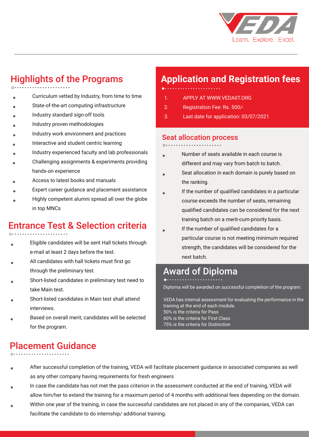

### Highlights of the Programs

- . Curriculum vetted by Industry, from time to time
- . State-of-the-art computing infrastructure
- . Industry standard sign-off tools
- . Industry proven methodologies
- . Industry work environment and practices
- . Interactive and student centric learning
- . Industry experienced faculty and lab professionals
- . Challenging assignments & experiments providing hands-on experience
- . Access to latest books and manuals
- . Expert career guidance and placement assistance
- . Highly competent alumni spread all over the globe in top MNCs

### Entrance Test & Selection criteria

- . Eligible candidates will be sent Hall tickets through e-mail at least 2 days before the test.
- . All candidates with hall tickets must first go through the preliminary test.
- . Short-listed candidates in preliminary test need to take Main test.
- . Short-listed candidates in Main test shall attend interviews.
- . Based on overall merit, candidates will be selected for the program.

# **Application and Registration fees**

- 
- 1. APPLY AT WWW.VEDAIIT.ORG
- 2. Registration Fee: Rs. 500/-
- 3. Last date for application: 03/07/2021

### Seat allocation process

- . Number of seats available in each course is different and may vary from batch to batch.
- . Seat allocation in each domain is purely based on the ranking.
- . If the number of qualified candidates in a particular course exceeds the number of seats, remaining qualified candidates can be considered for the next training batch on a merit-cum-priority basis.
- . If the number of qualified candidates for a particular course is not meeting minimum required strength, the candidates will be considered for the next batch.

### Award of Diploma

### Diploma will be awarded on successful completion of the program.

VEDA has internal assessment for evaluating the performance in the training at the end of each module. 50% is the criteria for Pass 60% is the criteria for First Class 75% is the criteria for Distinction

# Placement Guidance

- 
- . After successful completion of the training, VEDA will facilitate placement guidance in associated companies as well as any other company having requirements for fresh engineers
- . In case the candidate has not met the pass criterion in the assessment conducted at the end of training, VEDA will allow him/her to extend the training for a maximum period of 4 months with additional fees depending on the domain.
- . Within one year of the training, in case the successful candidates are not placed in any of the companies, VEDA can facilitate the candidate to do internship/ additional training.